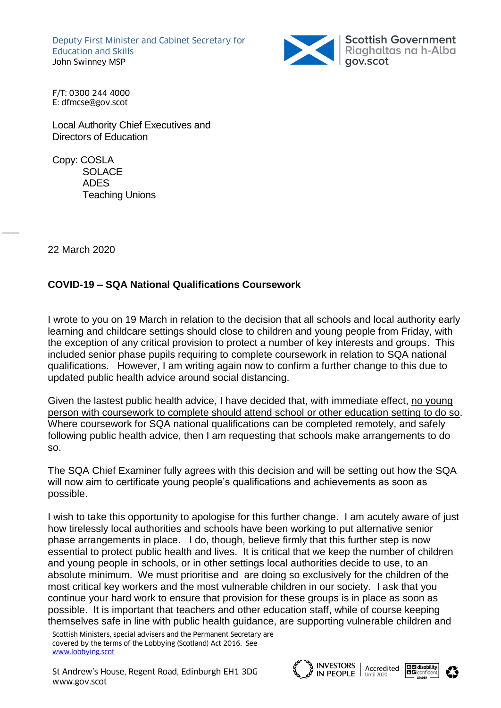Deputy First Minister and Cabinet Secretary for Education and Skills John Swinney MSP



F/T: 0300 244 4000 E: dfmcse@gov.scot

Local Authority Chief Executives and Directors of Education

Copy: COSLA SOLACE ADES Teaching Unions

22 March 2020

 $\overline{\phantom{a}}$ 

## **COVID-19 – SQA National Qualifications Coursework**

I wrote to you on 19 March in relation to the decision that all schools and local authority early learning and childcare settings should close to children and young people from Friday, with the exception of any critical provision to protect a number of key interests and groups. This included senior phase pupils requiring to complete coursework in relation to SQA national qualifications. However, I am writing again now to confirm a further change to this due to updated public health advice around social distancing.

Given the lastest public health advice, I have decided that, with immediate effect, no young person with coursework to complete should attend school or other education setting to do so. Where coursework for SQA national qualifications can be completed remotely, and safely following public health advice, then I am requesting that schools make arrangements to do so.

The SQA Chief Examiner fully agrees with this decision and will be setting out how the SQA will now aim to certificate young people's qualifications and achievements as soon as possible.

I wish to take this opportunity to apologise for this further change. I am acutely aware of just how tirelessly local authorities and schools have been working to put alternative senior phase arrangements in place. I do, though, believe firmly that this further step is now essential to protect public health and lives. It is critical that we keep the number of children and young people in schools, or in other settings local authorities decide to use, to an absolute minimum. We must prioritise and are doing so exclusively for the children of the most critical key workers and the most vulnerable children in our society. I ask that you continue your hard work to ensure that provision for these groups is in place as soon as possible. It is important that teachers and other education staff, while of course keeping themselves safe in line with public health guidance, are supporting vulnerable children and

Scottish Ministers, special advisers and the Permanent Secretary are covered by the terms of the Lobbying (Scotland) Act 2016. See [www.lobbying.scot](http://www.lobbying.scot/)